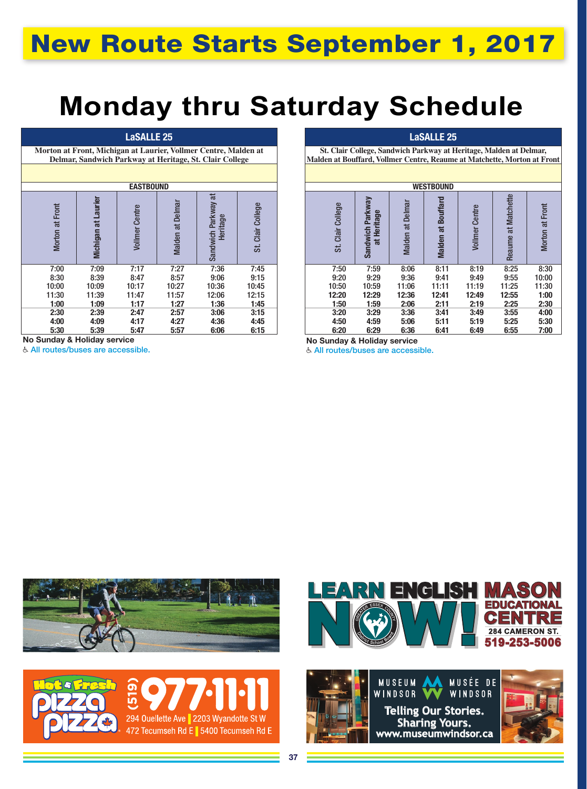## **Monday thru Saturday Schedule**

## LaSALLE 25

**Morton at Front, Michigan at Laurier, Vollmer Centre, Malden at Delmar, Sandwich Parkway at Heritage, St. Clair College**

| <b>EASTBOUND</b>   |                     |                       |                  |                                     |               |  |  |  |  |  |
|--------------------|---------------------|-----------------------|------------------|-------------------------------------|---------------|--|--|--|--|--|
| Front<br>Morton at | Michigan at Laurier | <b>Vollmer Centre</b> | Malden at Delmar | Ħ<br>Sandwich Parkway a<br>Heritage | Clair College |  |  |  |  |  |
| 7:00               | 7:09                | 7:17                  | 7:27             | 7:36                                | 7:45          |  |  |  |  |  |
| 8:30               | 8:39                | 8:47                  | 8:57             | 9:06                                | 9:15          |  |  |  |  |  |
| 10:00              | 10:09               | 10:17                 | 10:27            | 10:36                               | 10:45         |  |  |  |  |  |
| 11:30              | 11:39               | 11:47                 | 11:57            | 12:06                               | 12:15         |  |  |  |  |  |
| 1:00               | 1:09                | 1:17                  | 1:27             | 1:36                                | 1:45          |  |  |  |  |  |
| 2:30               | 2:39                | 2:47                  | 2:57             | 3:06                                | 3:15          |  |  |  |  |  |
| 4:00               | 4:09                | 4:17                  | 4:27             | 4:36                                | 4:45          |  |  |  |  |  |
| 5:30               | 5:39                | 5:47                  | 5:57             | 6:06                                | 6:15          |  |  |  |  |  |

No Sunday & Holiday service

All routes/buses are accessible.

## LaSALLE 25

**St. Clair College, Sandwich Parkway at Heritage, Malden at Delmar, Malden at Bouffard, Vollmer Centre, Reaume at Matchette, Morton at Front**

| <b>WESTBOUND</b>    |                                          |                  |                    |                       |                        |                    |  |  |  |  |
|---------------------|------------------------------------------|------------------|--------------------|-----------------------|------------------------|--------------------|--|--|--|--|
| Clair College<br>st | Sandwich Parkway<br><b>Heritage</b><br>ă | Malden at Delmar | Malden at Bouffard | <b>Vollmer Centre</b> | at Matchette<br>Reaume | Front<br>Morton at |  |  |  |  |
| 7:50                | 7:59                                     | 8:06             | 8:11               | 8:19                  | 8:25                   | 8:30               |  |  |  |  |
| 9:20                | 9:29                                     | 9:36             | 9:41               | 9:49                  | 9:55                   | 10:00              |  |  |  |  |
| 10:50               | 10:59                                    | 11:06            | 11:11              | 11:19                 | 11:25                  | 11:30              |  |  |  |  |
| 12:20               | 12:29                                    | 12:36            | 12:41              | 12:49                 | 12:55                  | 1:00               |  |  |  |  |
| 1:50                | 1:59                                     | 2:06             | 2:11               | 2:19                  | 2:25                   | 2:30               |  |  |  |  |
| 3:20                | 3:29                                     | 3:36             | 3:41               | 3:49                  | 3:55                   | 4:00               |  |  |  |  |
| 4:50                | 4:59                                     | 5:06             | 5:11               | 5:19                  | 5:25                   | 5:30               |  |  |  |  |
| 6:20                | 6:29                                     | 6:36             | 6:41               | 6:49                  | 6:55                   | 7:00               |  |  |  |  |

No Sunday & Holiday service

All routes/buses are accessible.